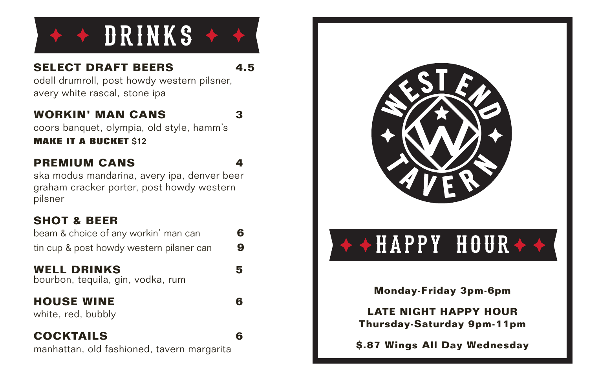

### **SELECT DRAFT BEERS 4.5**

odell drumroll, post howdy western pilsner, avery white rascal, stone ipa

### **WORKIN' MAN CANS 3**

coors banquet, olympia, old style, hamm's

**MAKE IT A BUCKET \$12** 

### **PREMIUM CANS 4**

ska modus mandarina, avery ipa, denver beer graham cracker porter, post howdy western pilsner

### **SHOT & BEER**

| beam & choice of any workin' man can     | 6 |
|------------------------------------------|---|
| tin cup & post howdy western pilsner can | 9 |

### **WELL DRINKS 5**

bourbon, tequila, gin, vodka, rum

### **HOUSE WINE 6**

white, red, bubbly

### **COCKTAILS 6**

manhattan, old fashioned, tavern margarita



## $\leftrightarrow$  +  $\overline{H}$   $\overline{APPY}$   $\quad$   $\overline{H}$   $\overline{O}$   $\overline{U}$   $\overline{R}$   $\leftrightarrow$   $\rightarrow$

**Monday-Friday 3pm-6pm**

**LATE NIGHT HAPPY HOUR Thursday-Saturday 9pm-11pm**

**\$.87 Wings All Day Wednesday**